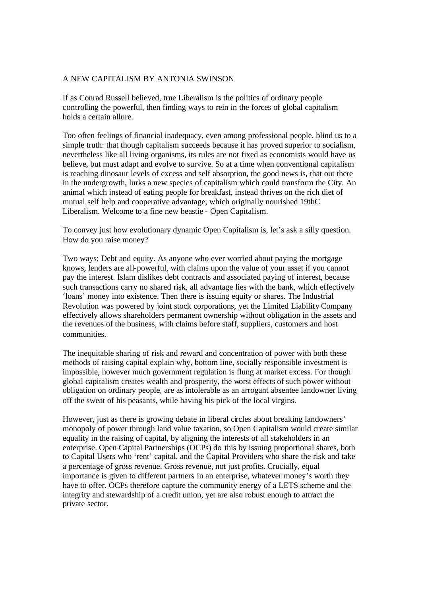## A NEW CAPITALISM BY ANTONIA SWINSON

If as Conrad Russell believed, true Liberalism is the politics of ordinary people controlling the powerful, then finding ways to rein in the forces of global capitalism holds a certain allure.

Too often feelings of financial inadequacy, even among professional people, blind us to a simple truth: that though capitalism succeeds because it has proved superior to socialism, nevertheless like all living organisms, its rules are not fixed as economists would have us believe, but must adapt and evolve to survive. So at a time when conventional capitalism is reaching dinosaur levels of excess and self absorption, the good news is, that out there in the undergrowth, lurks a new species of capitalism which could transform the City. An animal which instead of eating people for breakfast, instead thrives on the rich diet of mutual self help and cooperative advantage, which originally nourished 19thC Liberalism. Welcome to a fine new beastie - Open Capitalism.

To convey just how evolutionary dynamic Open Capitalism is, let's ask a silly question. How do you raise money?

Two ways: Debt and equity. As anyone who ever worried about paying the mortgage knows, lenders are all-powerful, with claims upon the value of your asset if you cannot pay the interest. Islam dislikes debt contracts and associated paying of interest, because such transactions carry no shared risk, all advantage lies with the bank, which effectively 'loans' money into existence. Then there is issuing equity or shares. The Industrial Revolution was powered by joint stock corporations, yet the Limited Liability Company effectively allows shareholders permanent ownership without obligation in the assets and the revenues of the business, with claims before staff, suppliers, customers and host communities.

The inequitable sharing of risk and reward and concentration of power with both these methods of raising capital explain why, bottom line, socially responsible investment is impossible, however much government regulation is flung at market excess. For though global capitalism creates wealth and prosperity, the worst effects of such power without obligation on ordinary people, are as intolerable as an arrogant absentee landowner living off the sweat of his peasants, while having his pick of the local virgins.

However, just as there is growing debate in liberal circles about breaking landowners' monopoly of power through land value taxation, so Open Capitalism would create similar equality in the raising of capital, by aligning the interests of all stakeholders in an enterprise. Open Capital Partnerships (OCPs) do this by issuing proportional shares, both to Capital Users who 'rent' capital, and the Capital Providers who share the risk and take a percentage of gross revenue. Gross revenue, not just profits. Crucially, equal importance is given to different partners in an enterprise, whatever money's worth they have to offer. OCPs therefore capture the community energy of a LETS scheme and the integrity and stewardship of a credit union, yet are also robust enough to attract the private sector.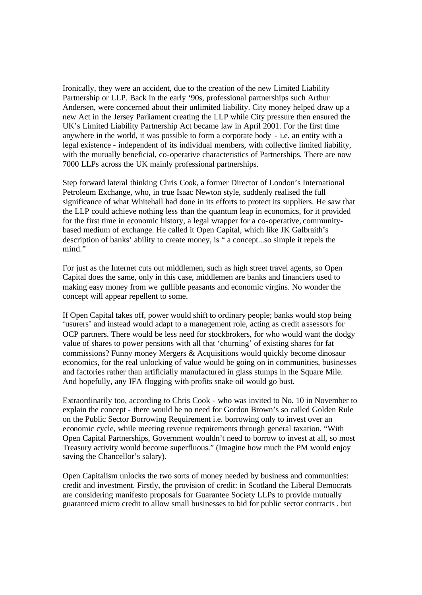Ironically, they were an accident, due to the creation of the new Limited Liability Partnership or LLP. Back in the early '90s, professional partnerships such Arthur Andersen, were concerned about their unlimited liability. City money helped draw up a new Act in the Jersey Parliament creating the LLP while City pressure then ensured the UK's Limited Liability Partnership Act became law in April 2001. For the first time anywhere in the world, it was possible to form a corporate body - i.e. an entity with a legal existence - independent of its individual members, with collective limited liability, with the mutually beneficial, co-operative characteristics of Partnerships. There are now 7000 LLPs across the UK mainly professional partnerships.

Step forward lateral thinking Chris Cook, a former Director of London's International Petroleum Exchange, who, in true Isaac Newton style, suddenly realised the full significance of what Whitehall had done in its efforts to protect its suppliers. He saw that the LLP could achieve nothing less than the quantum leap in economics, for it provided for the first time in economic history, a legal wrapper for a co-operative, communitybased medium of exchange. He called it Open Capital, which like JK Galbraith's description of banks' ability to create money, is " a concept...so simple it repels the mind."

For just as the Internet cuts out middlemen, such as high street travel agents, so Open Capital does the same, only in this case, middlemen are banks and financiers used to making easy money from we gullible peasants and economic virgins. No wonder the concept will appear repellent to some.

If Open Capital takes off, power would shift to ordinary people; banks would stop being 'usurers' and instead would adapt to a management role, acting as credit a ssessors for OCP partners. There would be less need for stockbrokers, for who would want the dodgy value of shares to power pensions with all that 'churning' of existing shares for fat commissions? Funny money Mergers & Acquisitions would quickly become dinosaur economics, for the real unlocking of value would be going on in communities, businesses and factories rather than artificially manufactured in glass stumps in the Square Mile. And hopefully, any IFA flogging with-profits snake oil would go bust.

Extraordinarily too, according to Chris Cook - who was invited to No. 10 in November to explain the concept - there would be no need for Gordon Brown's so called Golden Rule on the Public Sector Borrowing Requirement i.e. borrowing only to invest over an economic cycle, while meeting revenue requirements through general taxation. "With Open Capital Partnerships, Government wouldn't need to borrow to invest at all, so most Treasury activity would become superfluous." (Imagine how much the PM would enjoy saving the Chancellor's salary).

Open Capitalism unlocks the two sorts of money needed by business and communities: credit and investment. Firstly, the provision of credit: in Scotland the Liberal Democrats are considering manifesto proposals for Guarantee Society LLPs to provide mutually guaranteed micro credit to allow small businesses to bid for public sector contracts , but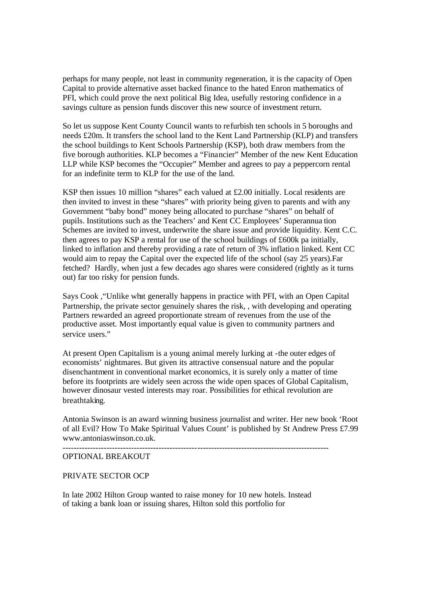perhaps for many people, not least in community regeneration, it is the capacity of Open Capital to provide alternative asset backed finance to the hated Enron mathematics of PFI, which could prove the next political Big Idea, usefully restoring confidence in a savings culture as pension funds discover this new source of investment return.

So let us suppose Kent County Council wants to refurbish ten schools in 5 boroughs and needs £20m. It transfers the school land to the Kent Land Partnership (KLP) and transfers the school buildings to Kent Schools Partnership (KSP), both draw members from the five borough authorities. KLP becomes a "Financier" Member of the new Kent Education LLP while KSP becomes the "Occupier" Member and agrees to pay a peppercorn rental for an indefinite term to KLP for the use of the land.

KSP then issues 10 million "shares" each valued at £2.00 initially. Local residents are then invited to invest in these "shares" with priority being given to parents and with any Government "baby bond" money being allocated to purchase "shares" on behalf of pupils. Institutions such as the Teachers' and Kent CC Employees' Superannua tion Schemes are invited to invest, underwrite the share issue and provide liquidity. Kent C.C. then agrees to pay KSP a rental for use of the school buildings of £600k pa initially, linked to inflation and thereby providing a rate of return of 3% inflatio n linked. Kent CC would aim to repay the Capital over the expected life of the school (say 25 years).Far fetched? Hardly, when just a few decades ago shares were considered (rightly as it turns out) far too risky for pension funds.

Says Cook ,"Unlike what generally happens in practice with PFI, with an Open Capital Partnership, the private sector genuinely shares the risk, , with developing and operating Partners rewarded an agreed proportionate stream of revenues from the use of the productive asset. Most importantly equal value is given to community partners and service users."

At present Open Capitalism is a young animal merely lurking at -the outer edges of economists' nightmares. But given its attractive consensual nature and the popular disenchantment in conventional market economics, it is surely only a matter of time before its footprints are widely seen across the wide open spaces of Global Capitalism, however dinosaur vested interests may roar. Possibilities for ethical revolution are breathtaking.

Antonia Swinson is an award winning business journalist and writer. Her new book 'Root of all Evil? How To Make Spiritual Values Count' is published by St Andrew Press £7.99 www.antoniaswinson.co.uk.

-------------------------------------------------------------------------------------------------

## OPTIONAL BREAKOUT

## PRIVATE SECTOR OCP

In late 2002 Hilton Group wanted to raise money for 10 new hotels. Instead of taking a bank loan or issuing shares, Hilton sold this portfolio for